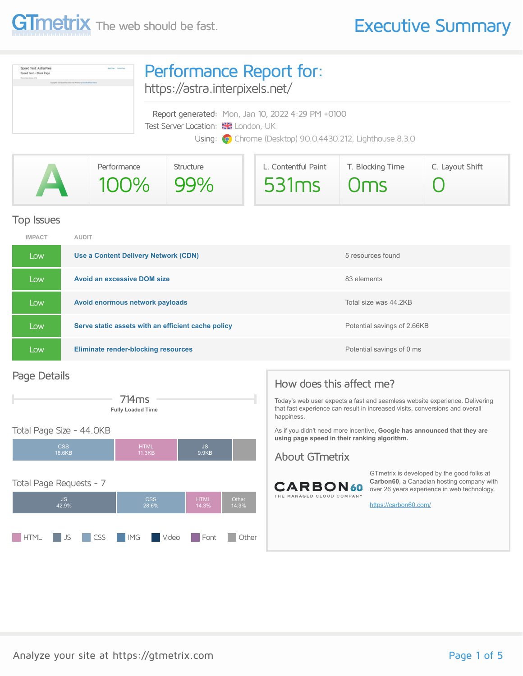

| Speed Test: Astra Free<br><b>Baltima</b> Senation<br>loeed Test - Blank Page<br>Dealers, Judge Herminel, 3-7-6.<br>Insurance at \$3.000 linear from dome-free (Research) to home that those Them | Performance Report for:<br>https://astra.interpixels.net/ |  |  |  |  |
|--------------------------------------------------------------------------------------------------------------------------------------------------------------------------------------------------|-----------------------------------------------------------|--|--|--|--|
|                                                                                                                                                                                                  | Report generated: Mon, Jan 10, 2022 4:29 PM +0100         |  |  |  |  |
|                                                                                                                                                                                                  | Test Server Location: <b>XX</b> London, UK                |  |  |  |  |
|                                                                                                                                                                                                  | Using: O Chrome (Desktop) 90.0.4430.212, Lighthouse 8.3.0 |  |  |  |  |
|                                                                                                                                                                                                  |                                                           |  |  |  |  |

|             | Performance | Structure  | L. Contentful Paint | T. Blocking Time | C. Layout Shift |
|-------------|-------------|------------|---------------------|------------------|-----------------|
| <b>ANTI</b> | $100\%$     | $\mid$ 99% | $531ms$ $0ms$       |                  |                 |

#### Top Issues

| <b>IMPACT</b> | <b>AUDIT</b>                                       |                             |
|---------------|----------------------------------------------------|-----------------------------|
| Low           | Use a Content Delivery Network (CDN)               | 5 resources found           |
| Low           | <b>Avoid an excessive DOM size</b>                 | 83 elements                 |
| Low           | Avoid enormous network payloads                    | Total size was 44.2KB       |
| Low           | Serve static assets with an efficient cache policy | Potential savings of 2.66KB |
| Low           | <b>Eliminate render-blocking resources</b>         | Potential savings of 0 ms   |

#### Page Details



#### CSS 18.6KB HTML 11.3KB JS 9.9KB Total Page Requests - 7 JS 42.9% CSS 28.6% HTML 14.3% Other 14.3% **HTML** JS CSS IMG Video Font Other

#### How does this affect me?

Today's web user expects a fast and seamless website experience. Delivering that fast experience can result in increased visits, conversions and overall happiness.

As if you didn't need more incentive, **Google has announced that they are using page speed in their ranking algorithm.**

#### About GTmetrix



GTmetrix is developed by the good folks at **Carbon60**, a Canadian hosting company with over 26 years experience in web technology.

<https://carbon60.com/>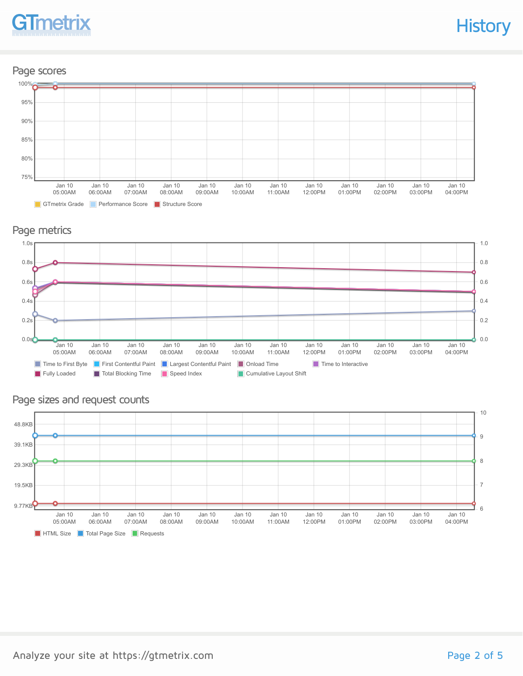

### Page scores



#### Page metrics



#### Page sizes and request counts

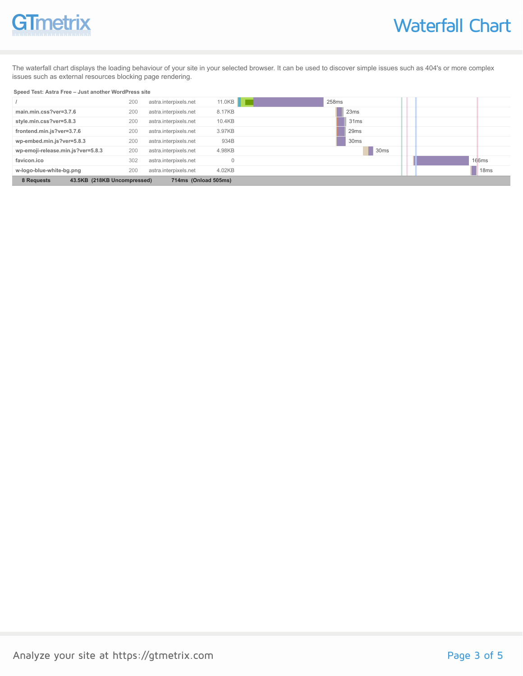# **GTmetrix**

The waterfall chart displays the loading behaviour of your site in your selected browser. It can be used to discover simple issues such as 404's or more complex issues such as external resources blocking page rendering.

#### **Speed Test: Astra Free – Just another WordPress site**

|                                                                   | 200 | astra.interpixels.net | 11.0KB | 258ms            |  |                  |
|-------------------------------------------------------------------|-----|-----------------------|--------|------------------|--|------------------|
| main.min.css?ver=3.7.6                                            | 200 | astra.interpixels.net | 8.17KB | 23ms             |  |                  |
| style.min.css?ver=5.8.3                                           | 200 | astra.interpixels.net | 10.4KB | 31ms             |  |                  |
| frontend.min.js?ver=3.7.6                                         | 200 | astra.interpixels.net | 3.97KB | 29 <sub>ms</sub> |  |                  |
| wp-embed.min.js?ver=5.8.3                                         | 200 | astra.interpixels.net | 934B   | 30 <sub>ms</sub> |  |                  |
| wp-emoji-release.min.js?ver=5.8.3                                 | 200 | astra.interpixels.net | 4.98KB | L<br>30ms        |  |                  |
| favicon.ico                                                       | 302 | astra.interpixels.net |        |                  |  | 166ms            |
| w-logo-blue-white-bg.png                                          | 200 | astra.interpixels.net | 4.02KB |                  |  | 18 <sub>ms</sub> |
| 8 Requests<br>43.5KB (218KB Uncompressed)<br>714ms (Onload 505ms) |     |                       |        |                  |  |                  |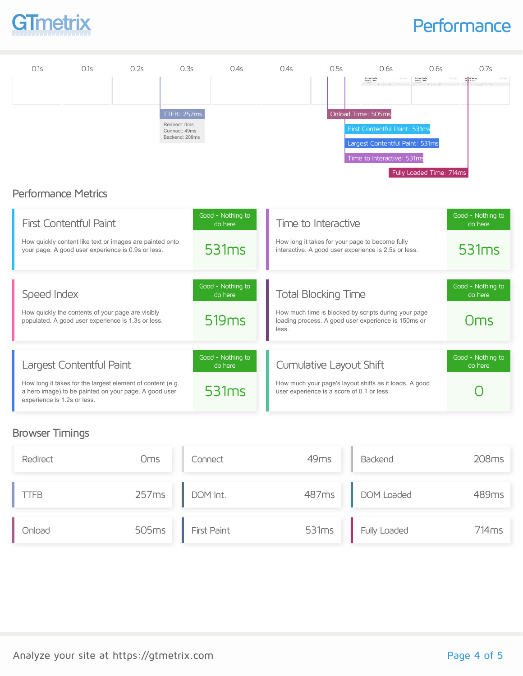

### **Performance**



#### Browser Timings

| Redirect | Oms | Connect           | 49 <sub>ms</sub> | Backend            | 208 <sub>ms</sub> |
|----------|-----|-------------------|------------------|--------------------|-------------------|
| TFB      |     | 257ms DOM Int.    |                  | 487ms DOM Loaded   | 489ms             |
| Onload   |     | 505ms First Paint |                  | 531ms Fully Loaded | 714ms             |